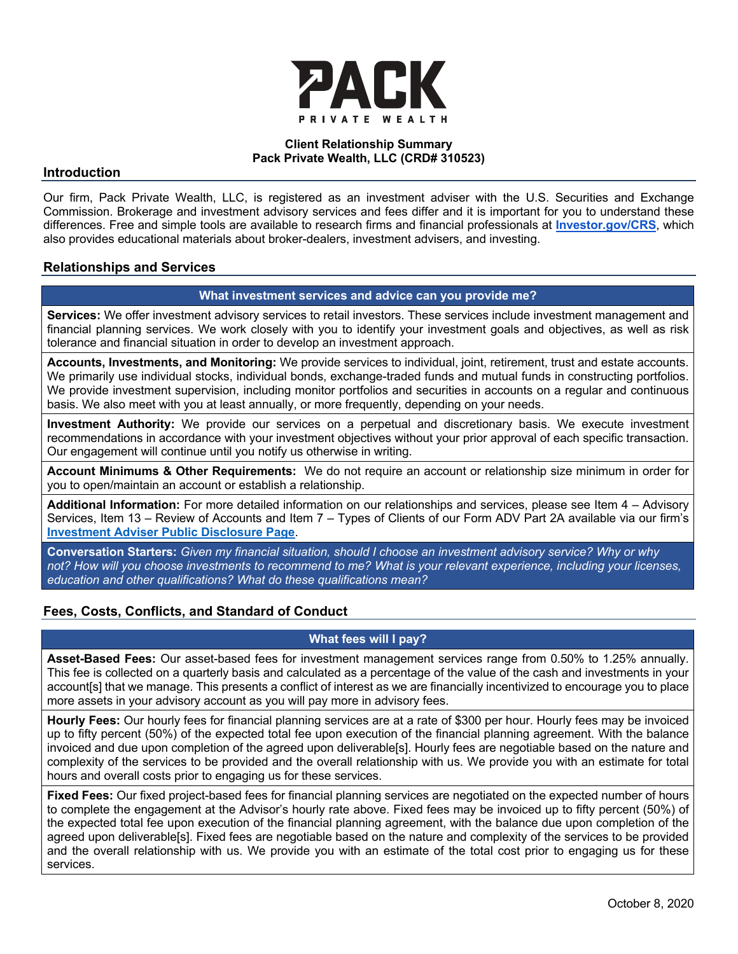

#### **Client Relationship Summary Pack Private Wealth, LLC (CRD# 310523)**

#### **Introduction**

Our firm, Pack Private Wealth, LLC, is registered as an investment adviser with the U.S. Securities and Exchange Commission. Brokerage and investment advisory services and fees differ and it is important for you to understand these differences. Free and simple tools are available to research firms and financial professionals at **Investor.gov/CRS**, which also provides educational materials about broker-dealers, investment advisers, and investing.

#### **Relationships and Services**

# **What investment services and advice can you provide me?**

**Services:** We offer investment advisory services to retail investors. These services include investment management and financial planning services. We work closely with you to identify your investment goals and objectives, as well as risk tolerance and financial situation in order to develop an investment approach.

**Accounts, Investments, and Monitoring:** We provide services to individual, joint, retirement, trust and estate accounts. We primarily use individual stocks, individual bonds, exchange-traded funds and mutual funds in constructing portfolios. We provide investment supervision, including monitor portfolios and securities in accounts on a regular and continuous basis. We also meet with you at least annually, or more frequently, depending on your needs.

**Investment Authority:** We provide our services on a perpetual and discretionary basis. We execute investment recommendations in accordance with your investment objectives without your prior approval of each specific transaction. Our engagement will continue until you notify us otherwise in writing.

**Account Minimums & Other Requirements:** We do not require an account or relationship size minimum in order for you to open/maintain an account or establish a relationship.

**Additional Information:** For more detailed information on our relationships and services, please see Item 4 – Advisory Services, Item 13 – Review of Accounts and Item 7 – Types of Clients of our Form ADV Part 2A available via our firm's **Investment Adviser Public Disclosure Page**.

**Conversation Starters:** *Given my financial situation, should I choose an investment advisory service? Why or why not? How will you choose investments to recommend to me? What is your relevant experience, including your licenses, education and other qualifications? What do these qualifications mean?*

# **Fees, Costs, Conflicts, and Standard of Conduct**

# **What fees will I pay?**

**Asset-Based Fees:** Our asset-based fees for investment management services range from 0.50% to 1.25% annually. This fee is collected on a quarterly basis and calculated as a percentage of the value of the cash and investments in your account[s] that we manage. This presents a conflict of interest as we are financially incentivized to encourage you to place more assets in your advisory account as you will pay more in advisory fees.

**Hourly Fees:** Our hourly fees for financial planning services are at a rate of \$300 per hour. Hourly fees may be invoiced up to fifty percent (50%) of the expected total fee upon execution of the financial planning agreement. With the balance invoiced and due upon completion of the agreed upon deliverable[s]. Hourly fees are negotiable based on the nature and complexity of the services to be provided and the overall relationship with us. We provide you with an estimate for total hours and overall costs prior to engaging us for these services.

**Fixed Fees:** Our fixed project-based fees for financial planning services are negotiated on the expected number of hours to complete the engagement at the Advisor's hourly rate above. Fixed fees may be invoiced up to fifty percent (50%) of the expected total fee upon execution of the financial planning agreement, with the balance due upon completion of the agreed upon deliverable[s]. Fixed fees are negotiable based on the nature and complexity of the services to be provided and the overall relationship with us. We provide you with an estimate of the total cost prior to engaging us for these services.